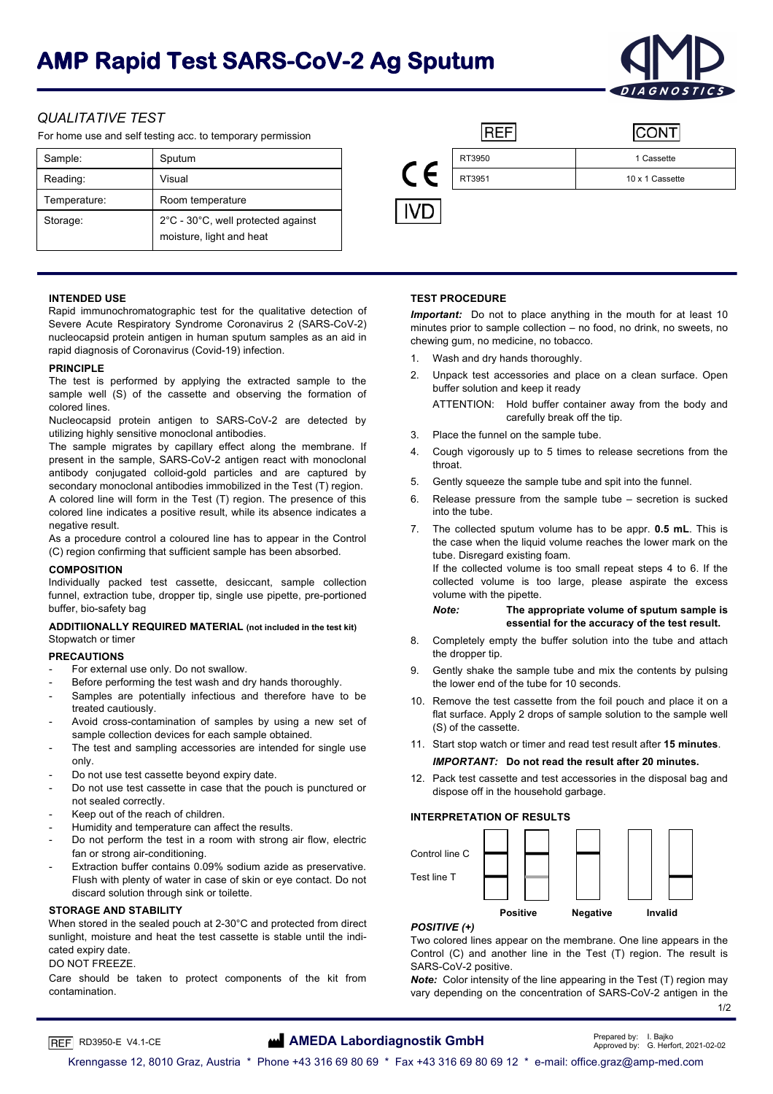# **AMP Rapid Test SARS-CoV-2 Ag Sputum**



# *QUALITATIVE TEST*

For home use and self testing acc. to temporary permission

| Sample:      | Sputum                                                         | VC |        |                 |  |  | RT3950 | 1 Cassette |
|--------------|----------------------------------------------------------------|----|--------|-----------------|--|--|--------|------------|
| Reading:     | Visual                                                         |    | RT3951 | 10 x 1 Cassette |  |  |        |            |
| Temperature: | Room temperature                                               |    |        |                 |  |  |        |            |
| Storage:     | 2°C - 30°C, well protected against<br>moisture, light and heat |    |        |                 |  |  |        |            |

|            |        | Ω.              |
|------------|--------|-----------------|
|            | RT3950 | 1 Cassette      |
| $\epsilon$ | RT3951 | 10 x 1 Cassette |
|            |        |                 |

Rapid immunochromatographic test for the qualitative detection of Severe Acute Respiratory Syndrome Coronavirus 2 (SARS-CoV-2) nucleocapsid protein antigen in human sputum samples as an aid in rapid diagnosis of Coronavirus (Covid-19) infection.

The test is performed by applying the extracted sample to the  $\frac{2}{\text{pi}}$  buffer solution and keep it ready sample well (S) of the cassette and observing the formation of

Nucleocapsid protein antigen to SARS-CoV-2 are detected by utilizing highly sensitive monoclonal antibodies. 3. Place the funnel on the sample tube.

The sample migrates by capillary effect along the membrane. If present in the sample, SARS-CoV-2 antigen react with monoclonal antibody conjugated colloid-gold particles and are captured by secondary monoclonal antibodies immobilized in the Test (T) region. A colored line will form in the Test (T) region. The presence of this colored line indicates a positive result, while its absence indicates a

As a procedure control a coloured line has to appear in the Control (C) region confirming that sufficient sample has been absorbed.

# **COMPOSITION**

Individually packed test cassette, desiccant, sample collection funnel, extraction tube, dropper tip, single use pipette, pre-portioned buffer, bio-safety bag *Note:* **The appropriate volume of sputum sample is** 

# ADDITIIONALLY REQUIRED MATERIAL (not included in the test kit) essential for the accuracy of the test result. Stopwatch or timer

# **PRECAUTIONS**

- For external use only. Do not swallow.
- Before performing the test wash and dry hands thoroughly.
- Samples are potentially infectious and therefore have to be treated cautiously.
- Avoid cross-contamination of samples by using a new set of (S) of the cassette.<br>sample collection devices for each sample obtained. (S) of the cassette.
- only. *IMPORTANT:* **Do not read the result after 20 minutes.**
- Do not use test cassette beyond expiry date.
- Do not use test cassette in case that the pouch is punctured or not sealed correctly.
- 
- Freep out of the reach of children.<br> **INTERPRETATION OF RESULTS INTERPRETATION OF RESULTS**
- Do not perform the test in a room with strong air flow, electric fan or strong air-conditioning. The control line Control line C
- Extraction buffer contains 0.09% sodium azide as preservative. Flush with plenty of water in case of skin or eye contact. Do not discard solution through sink or toilette.

When stored in the sealed pouch at 2-30°C and protected from direct sunlight, moisture and heat the test cassette is stable until the indicated expiry date.

Care should be taken to protect components of the kit from contamination.

# **INTENDED USE TEST PROCEDURE**

*Important:* Do not to place anything in the mouth for at least 10 minutes prior to sample collection – no food, no drink, no sweets, no chewing gum, no medicine, no tobacco.

- 1. Wash and dry hands thoroughly.
- **PRINCIPLE**<br>The test is performed by englying the extremed comple to the 2. Unpack test accessories and place on a clean surface. Open

colored lines.<br>Colored lines.<br>Nucleocansid protein antigen to SARS-CoV-2 are detected by carefully break off the tip.

- 
- 4. Cough vigorously up to 5 times to release secretions from the throat.
- 5. Gently squeeze the sample tube and spit into the funnel.
- 6. Release pressure from the sample tube secretion is sucked into the tube.
- negative result. This is a collected sputum volume has to be appr. **0.5 mL**. This is the case when the liquid volume reaches the lower mark on the tube. Disregard existing foam.

If the collected volume is too small repeat steps 4 to 6. If the collected volume is too large, please aspirate the excess volume with the pipette.

- 8. Completely empty the buffer solution into the tube and attach the dropper tip.
- 9. Gently shake the sample tube and mix the contents by pulsing the lower end of the tube for 10 seconds.
- 10. Remove the test cassette from the foil pouch and place it on a flat surface. Apply 2 drops of sample solution to the sample well
- sample collection devices for each sample obtained.<br>The test and sampling accessories are intended for single use 11. Start stop watch or timer and read test result after 15 minutes.

12. Pack test cassette and test accessories in the disposal bag and dispose off in the household garbage.



# *POSITIVE (+)*

Two colored lines appear on the membrane. One line appears in the Control (C) and another line in the Test (T) region. The result is DO NOT FREEZE. SARS-CoV-2 positive.

*Note:* Color intensity of the line appearing in the Test (T) region may vary depending on the concentration of SARS-CoV-2 antigen in the 1/2

# RD3950-E V4.1-CE **AMEDA Labordiagnostik GmbH Prepared by:** I. Bajko **C. Approved by: I. Bajko C. Herf**

Approved by: G. Herfort, 2021-02-02